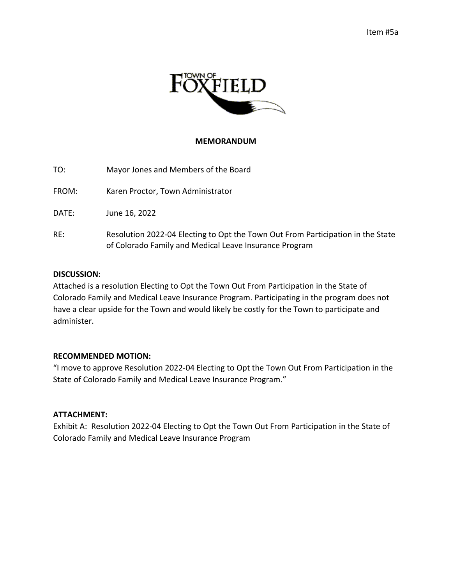

### **MEMORANDUM**

| TO:   | Mayor Jones and Members of the Board                                                                                                      |
|-------|-------------------------------------------------------------------------------------------------------------------------------------------|
| FROM: | Karen Proctor, Town Administrator                                                                                                         |
| DATE: | June 16, 2022                                                                                                                             |
| RE:   | Resolution 2022-04 Electing to Opt the Town Out From Participation in the State<br>of Colorado Family and Medical Leave Insurance Program |

#### **DISCUSSION:**

Attached is a resolution Electing to Opt the Town Out From Participation in the State of Colorado Family and Medical Leave Insurance Program. Participating in the program does not have a clear upside for the Town and would likely be costly for the Town to participate and administer.

#### **RECOMMENDED MOTION:**

"I move to approve Resolution 2022-04 Electing to Opt the Town Out From Participation in the State of Colorado Family and Medical Leave Insurance Program."

## **ATTACHMENT:**

Exhibit A: Resolution 2022-04 Electing to Opt the Town Out From Participation in the State of Colorado Family and Medical Leave Insurance Program